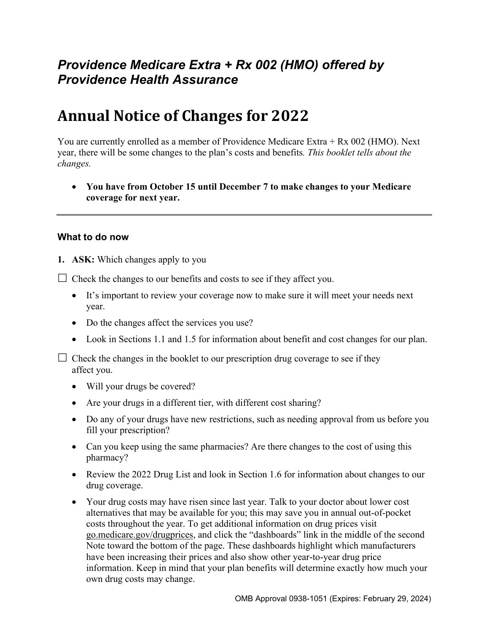## *Providence Medicare Extra + Rx 002 (HMO) offered by Providence Health Assurance*

# **Annual Notice of Changes for 2022**

You are currently enrolled as a member of Providence Medicare Extra + Rx 002 (HMO). Next year, there will be some changes to the plan's costs and benefits*. This booklet tells about the changes.* 

 **You have from October 15 until December 7 to make changes to your Medicare coverage for next year.** 

#### **What to do now**

**1. ASK:** Which changes apply to you

 $\Box$  Check the changes to our benefits and costs to see if they affect you.

- It's important to review your coverage now to make sure it will meet your needs next year.
- Do the changes affect the services you use?
- Look in Sections 1.1 and 1.5 for information about benefit and cost changes for our plan.

 $\Box$  Check the changes in the booklet to our prescription drug coverage to see if they affect you.

- Will your drugs be covered?
- Are your drugs in a different tier, with different cost sharing?
- Do any of your drugs have new restrictions, such as needing approval from us before you fill your prescription?
- Can you keep using the same pharmacies? Are there changes to the cost of using this pharmacy?
- Review the 2022 Drug List and look in Section 1.6 for information about changes to our drug coverage.
- Your drug costs may have risen since last year. Talk to your doctor about lower cost alternatives that may be available for you; this may save you in annual out-of-pocket costs throughout the year. To get additional information on drug prices visit [go.medicare.gov/drugprices,](https://go.medicare.gov/drugprices) and click the "dashboards" link in the middle of the second Note toward the bottom of the page. These dashboards highlight which manufacturers have been increasing their prices and also show other year-to-year drug price information. Keep in mind that your plan benefits will determine exactly how much your own drug costs may change.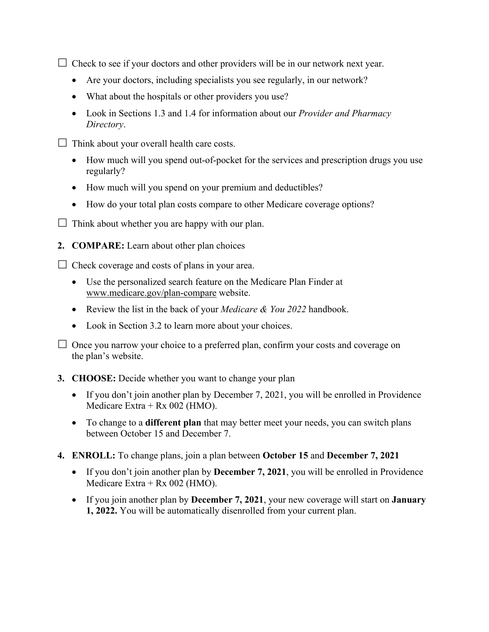$\Box$  Check to see if your doctors and other providers will be in our network next year.

- Are your doctors, including specialists you see regularly, in our network?
- What about the hospitals or other providers you use?
- Look in Sections 1.3 and 1.4 for information about our *Provider and Pharmacy Directory*.
- $\Box$  Think about your overall health care costs.
	- How much will you spend out-of-pocket for the services and prescription drugs you use regularly?
	- How much will you spend on your premium and deductibles?
	- How do your total plan costs compare to other Medicare coverage options?
- $\Box$  Think about whether you are happy with our plan.
- **2. COMPARE:** Learn about other plan choices

 $\Box$  Check coverage and costs of plans in your area.

- Use the personalized search feature on the Medicare Plan Finder at [www.medicare.gov/plan-compare](http://www.medicare.gov/plan-compare) website.
- Review the list in the back of your *Medicare & You 2022* handbook.
- Look in Section 3.2 to learn more about your choices.

 $\Box$  Once you narrow your choice to a preferred plan, confirm your costs and coverage on the plan's website.

#### **3. CHOOSE:** Decide whether you want to change your plan

- If you don't join another plan by December 7, 2021, you will be enrolled in Providence Medicare Extra + Rx 002 (HMO).
- To change to a **different plan** that may better meet your needs, you can switch plans between October 15 and December 7.
- **4. ENROLL:** To change plans, join a plan between **October 15** and **December 7, 2021** 
	- If you don't join another plan by **December 7, 2021**, you will be enrolled in Providence Medicare Extra + Rx 002 (HMO).
	- If you join another plan by **December 7, 2021**, your new coverage will start on **January 1, 2022.** You will be automatically disenrolled from your current plan.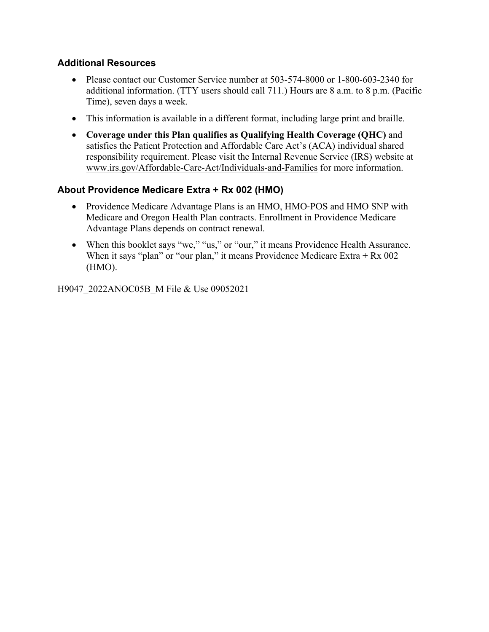#### **Additional Resources**

- Please contact our Customer Service number at 503-574-8000 or 1-800-603-2340 for additional information. (TTY users should call 711.) Hours are 8 a.m. to 8 p.m. (Pacific Time), seven days a week.
- This information is available in a different format, including large print and braille.
- **Coverage under this Plan qualifies as Qualifying Health Coverage (QHC)** and satisfies the Patient Protection and Affordable Care Act's (ACA) individual shared responsibility requirement. Please visit the Internal Revenue Service (IRS) website at [www.irs.gov/Affordable-Care-Act/Individuals-and-Families](http://www.irs.gov/Affordable-Care-Act/Individuals-and-Families) for more information.

## **About Providence Medicare Extra + Rx 002 (HMO)**

- Providence Medicare Advantage Plans is an HMO, HMO-POS and HMO SNP with Medicare and Oregon Health Plan contracts. Enrollment in Providence Medicare Advantage Plans depends on contract renewal.
- When this booklet says "we," "us," or "our," it means Providence Health Assurance. When it says "plan" or "our plan," it means Providence Medicare Extra  $+$  Rx 002 (HMO).

H9047\_2022ANOC05B\_M File & Use 09052021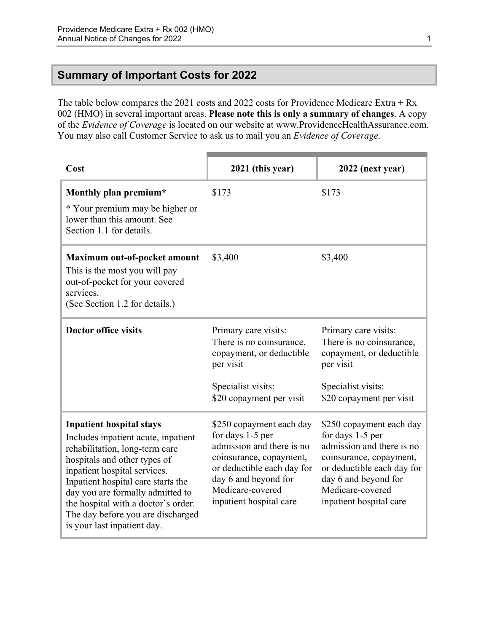## <span id="page-3-0"></span>**Summary of Important Costs for 2022**

The table below compares the 2021 costs and 2022 costs for Providence Medicare Extra + Rx 002 (HMO) in several important areas. **Please note this is only a summary of changes**. A copy of the *Evidence of Coverage* is located on our website at [www.ProvidenceHealthAssurance.com](http://www.ProvidenceHealthAssurance.com). You may also call Customer Service to ask us to mail you an *Evidence of Coverage*.

| Cost                                                                                                                                                                                                                                                                                                                                                          | 2021 (this year)                                                                                                                                                                                          | 2022 (next year)                                                                                                                                                                                          |
|---------------------------------------------------------------------------------------------------------------------------------------------------------------------------------------------------------------------------------------------------------------------------------------------------------------------------------------------------------------|-----------------------------------------------------------------------------------------------------------------------------------------------------------------------------------------------------------|-----------------------------------------------------------------------------------------------------------------------------------------------------------------------------------------------------------|
| Monthly plan premium*<br>* Your premium may be higher or<br>lower than this amount. See<br>Section 1.1 for details.                                                                                                                                                                                                                                           | \$173                                                                                                                                                                                                     | \$173                                                                                                                                                                                                     |
| Maximum out-of-pocket amount<br>This is the most you will pay<br>out-of-pocket for your covered<br>services.<br>(See Section 1.2 for details.)                                                                                                                                                                                                                | \$3,400                                                                                                                                                                                                   | \$3,400                                                                                                                                                                                                   |
| <b>Doctor office visits</b>                                                                                                                                                                                                                                                                                                                                   | Primary care visits:<br>There is no coinsurance,<br>copayment, or deductible<br>per visit<br>Specialist visits:<br>\$20 copayment per visit                                                               | Primary care visits:<br>There is no coinsurance,<br>copayment, or deductible<br>per visit<br>Specialist visits:<br>\$20 copayment per visit                                                               |
| <b>Inpatient hospital stays</b><br>Includes inpatient acute, inpatient<br>rehabilitation, long-term care<br>hospitals and other types of<br>inpatient hospital services.<br>Inpatient hospital care starts the<br>day you are formally admitted to<br>the hospital with a doctor's order.<br>The day before you are discharged<br>is your last inpatient day. | \$250 copayment each day<br>for days 1-5 per<br>admission and there is no<br>coinsurance, copayment,<br>or deductible each day for<br>day 6 and beyond for<br>Medicare-covered<br>inpatient hospital care | \$250 copayment each day<br>for days 1-5 per<br>admission and there is no<br>coinsurance, copayment,<br>or deductible each day for<br>day 6 and beyond for<br>Medicare-covered<br>inpatient hospital care |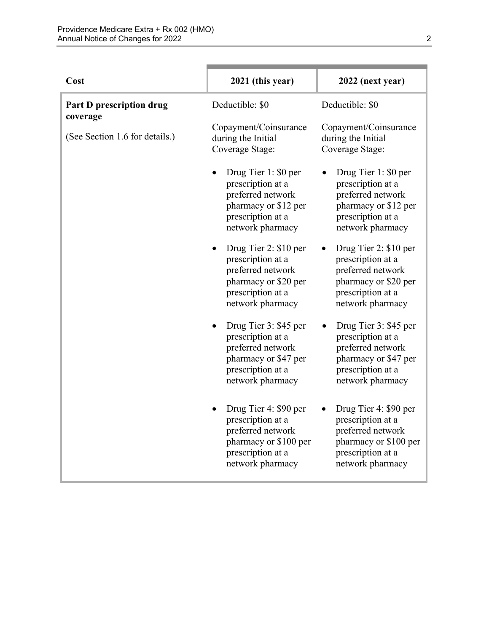| Cost                                 | 2021 (this year)                                                                                                                              | 2022 (next year)                                                                                                                             |
|--------------------------------------|-----------------------------------------------------------------------------------------------------------------------------------------------|----------------------------------------------------------------------------------------------------------------------------------------------|
| Part D prescription drug<br>coverage | Deductible: \$0                                                                                                                               | Deductible: \$0                                                                                                                              |
| (See Section 1.6 for details.)       | Copayment/Coinsurance<br>during the Initial<br>Coverage Stage:                                                                                | Copayment/Coinsurance<br>during the Initial<br>Coverage Stage:                                                                               |
|                                      | Drug Tier 1: \$0 per<br>prescription at a<br>preferred network<br>pharmacy or \$12 per<br>prescription at a<br>network pharmacy               | Drug Tier 1: \$0 per<br>$\bullet$<br>prescription at a<br>preferred network<br>pharmacy or \$12 per<br>prescription at a<br>network pharmacy |
|                                      | Drug Tier 2: \$10 per<br>$\bullet$<br>prescription at a<br>preferred network<br>pharmacy or \$20 per<br>prescription at a<br>network pharmacy | Drug Tier 2: \$10 per<br>prescription at a<br>preferred network<br>pharmacy or \$20 per<br>prescription at a<br>network pharmacy             |
|                                      | Drug Tier 3: \$45 per<br>$\bullet$<br>prescription at a<br>preferred network<br>pharmacy or \$47 per<br>prescription at a<br>network pharmacy | Drug Tier 3: \$45 per<br>prescription at a<br>preferred network<br>pharmacy or \$47 per<br>prescription at a<br>network pharmacy             |
|                                      | Drug Tier 4: \$90 per<br>prescription at a<br>preferred network<br>pharmacy or \$100 per<br>prescription at a<br>network pharmacy             | Drug Tier 4: \$90 per<br>prescription at a<br>preferred network<br>pharmacy or \$100 per<br>prescription at a<br>network pharmacy            |

n.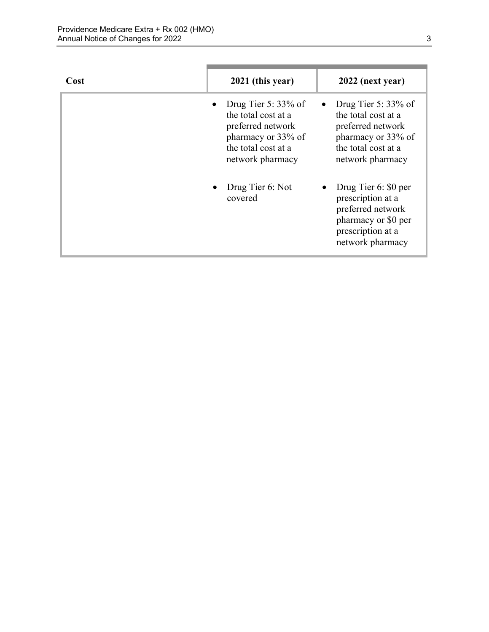| Cost | 2021 (this year)                                                                                                                    | 2022 (next year)                                                                                                                    |
|------|-------------------------------------------------------------------------------------------------------------------------------------|-------------------------------------------------------------------------------------------------------------------------------------|
|      | Drug Tier 5: $33\%$ of<br>the total cost at a<br>preferred network<br>pharmacy or 33% of<br>the total cost at a<br>network pharmacy | Drug Tier 5: $33\%$ of<br>the total cost at a<br>preferred network<br>pharmacy or 33% of<br>the total cost at a<br>network pharmacy |
|      | Drug Tier 6: Not<br>covered                                                                                                         | Drug Tier 6: \$0 per<br>prescription at a<br>preferred network<br>pharmacy or \$0 per<br>prescription at a<br>network pharmacy      |

٠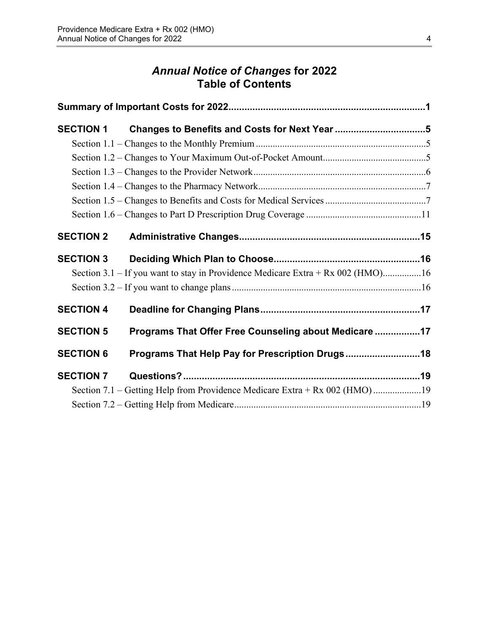## *Annual Notice of Changes* **for 2022 Table of Contents**

| <b>SECTION 1</b> | Changes to Benefits and Costs for Next Year 5                                   |  |
|------------------|---------------------------------------------------------------------------------|--|
|                  |                                                                                 |  |
|                  |                                                                                 |  |
|                  |                                                                                 |  |
|                  |                                                                                 |  |
|                  |                                                                                 |  |
|                  |                                                                                 |  |
| <b>SECTION 2</b> |                                                                                 |  |
| <b>SECTION 3</b> |                                                                                 |  |
|                  | Section 3.1 – If you want to stay in Providence Medicare Extra + Rx 002 (HMO)16 |  |
|                  |                                                                                 |  |
| <b>SECTION 4</b> |                                                                                 |  |
| <b>SECTION 5</b> | Programs That Offer Free Counseling about Medicare 17                           |  |
| <b>SECTION 6</b> | Programs That Help Pay for Prescription Drugs 18                                |  |
| <b>SECTION 7</b> |                                                                                 |  |
|                  | Section 7.1 – Getting Help from Providence Medicare Extra + Rx 002 (HMO)19      |  |
|                  |                                                                                 |  |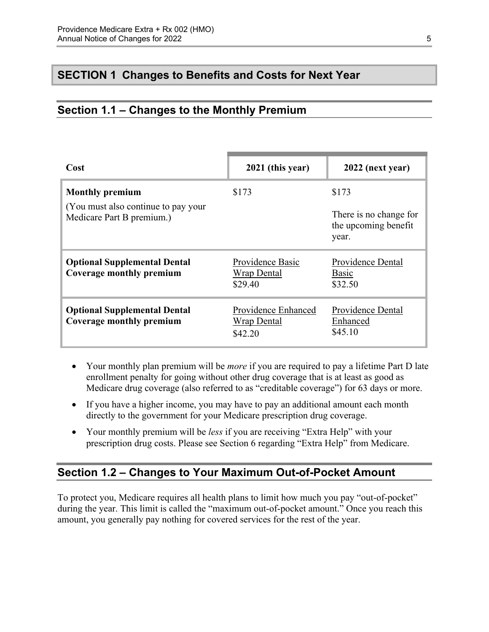## <span id="page-7-0"></span>**SECTION 1 Changes to Benefits and Costs for Next Year**

## <span id="page-7-1"></span>**Section 1.1 – Changes to the Monthly Premium**

| Cost                                                              | 2021 (this year)                                     | 2022 (next year)                                        |
|-------------------------------------------------------------------|------------------------------------------------------|---------------------------------------------------------|
| <b>Monthly premium</b>                                            | \$173                                                | \$173                                                   |
| (You must also continue to pay your)<br>Medicare Part B premium.) |                                                      | There is no change for<br>the upcoming benefit<br>year. |
| <b>Optional Supplemental Dental</b><br>Coverage monthly premium   | Providence Basic<br><b>Wrap Dental</b><br>\$29.40    | Providence Dental<br>Basic<br>\$32.50                   |
| <b>Optional Supplemental Dental</b><br>Coverage monthly premium   | Providence Enhanced<br><b>Wrap Dental</b><br>\$42.20 | Providence Dental<br>Enhanced<br>\$45.10                |

- Your monthly plan premium will be *more* if you are required to pay a lifetime Part D late enrollment penalty for going without other drug coverage that is at least as good as Medicare drug coverage (also referred to as "creditable coverage") for 63 days or more.
- If you have a higher income, you may have to pay an additional amount each month directly to the government for your Medicare prescription drug coverage.
- Your monthly premium will be *less* if you are receiving "Extra Help" with your prescription drug costs. Please see Section 6 regarding "Extra Help" from Medicare.

## <span id="page-7-2"></span>**Section 1.2 – Changes to Your Maximum Out-of-Pocket Amount**

 amount, you generally pay nothing for covered services for the rest of the year. To protect you, Medicare requires all health plans to limit how much you pay "out-of-pocket" during the year. This limit is called the "maximum out-of-pocket amount." Once you reach this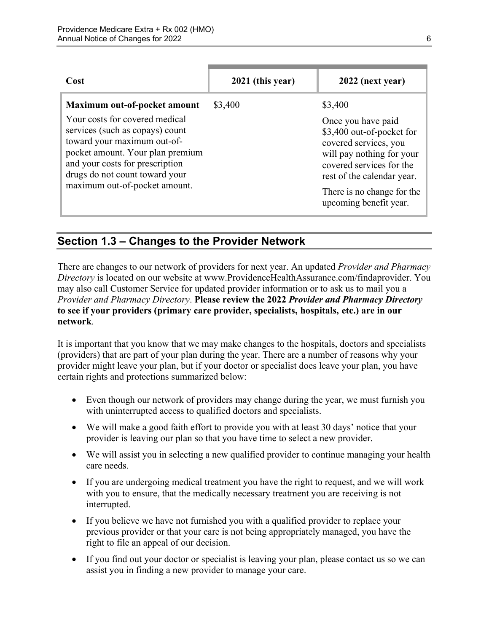| <b>Cost</b>                                                                                                                                                                                                                                                                | 2021 (this year) | 2022 (next year)                                                                                                                                                                                                                   |
|----------------------------------------------------------------------------------------------------------------------------------------------------------------------------------------------------------------------------------------------------------------------------|------------------|------------------------------------------------------------------------------------------------------------------------------------------------------------------------------------------------------------------------------------|
| Maximum out-of-pocket amount<br>Your costs for covered medical<br>services (such as copays) count<br>toward your maximum out-of-<br>pocket amount. Your plan premium<br>and your costs for prescription<br>drugs do not count toward your<br>maximum out-of-pocket amount. | \$3,400          | \$3,400<br>Once you have paid<br>\$3,400 out-of-pocket for<br>covered services, you<br>will pay nothing for your<br>covered services for the<br>rest of the calendar year.<br>There is no change for the<br>upcoming benefit year. |

## <span id="page-8-0"></span>**Section 1.3 – Changes to the Provider Network**

 **to see if your providers (primary care provider, specialists, hospitals, etc.) are in our**  There are changes to our network of providers for next year. An updated *Provider and Pharmacy Directory* is located on our website at [www.ProvidenceHealthAssurance.com/findaprovider.](http://www.ProvidenceHealthAssurance.com/findaprovider) You may also call Customer Service for updated provider information or to ask us to mail you a *Provider and Pharmacy Directory*. **Please review the 2022** *Provider and Pharmacy Directory*  **network**.

It is important that you know that we may make changes to the hospitals, doctors and specialists (providers) that are part of your plan during the year. There are a number of reasons why your provider might leave your plan, but if your doctor or specialist does leave your plan, you have certain rights and protections summarized below:

- Even though our network of providers may change during the year, we must furnish you with uninterrupted access to qualified doctors and specialists.
- We will make a good faith effort to provide you with at least 30 days' notice that your provider is leaving our plan so that you have time to select a new provider.
- We will assist you in selecting a new qualified provider to continue managing your health care needs.
- If you are undergoing medical treatment you have the right to request, and we will work with you to ensure, that the medically necessary treatment you are receiving is not interrupted.
- If you believe we have not furnished you with a qualified provider to replace your previous provider or that your care is not being appropriately managed, you have the right to file an appeal of our decision.
- If you find out your doctor or specialist is leaving your plan, please contact us so we can assist you in finding a new provider to manage your care.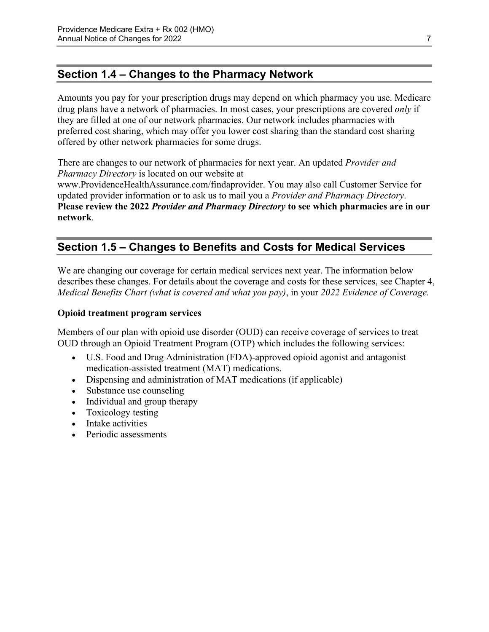## <span id="page-9-0"></span>**Section 1.4 – Changes to the Pharmacy Network**

Amounts you pay for your prescription drugs may depend on which pharmacy you use. Medicare drug plans have a network of pharmacies. In most cases, your prescriptions are covered *only* if they are filled at one of our network pharmacies. Our network includes pharmacies with preferred cost sharing, which may offer you lower cost sharing than the standard cost sharing offered by other network pharmacies for some drugs.

There are changes to our network of pharmacies for next year. An updated *Provider and Pharmacy Directory* is located on our website at [www.ProvidenceHealthAssurance.com/findaprovider](http://www.ProvidenceHealthAssurance.com/findaprovider). You may also call Customer Service for updated provider information or to ask us to mail you a *Provider and Pharmacy Directory*.

**Please review the 2022** *Provider and Pharmacy Directory* **to see which pharmacies are in our network**.

## <span id="page-9-1"></span>**Section 1.5 – Changes to Benefits and Costs for Medical Services**

We are changing our coverage for certain medical services next year. The information below describes these changes. For details about the coverage and costs for these services, see Chapter 4, *Medical Benefits Chart (what is covered and what you pay)*, in your *2022 Evidence of Coverage.* 

#### **Opioid treatment program services**

Members of our plan with opioid use disorder (OUD) can receive coverage of services to treat OUD through an Opioid Treatment Program (OTP) which includes the following services:

- U.S. Food and Drug Administration (FDA)-approved opioid agonist and antagonist medication-assisted treatment (MAT) medications.
- Dispensing and administration of MAT medications (if applicable)
- Substance use counseling
- Individual and group therapy
- Toxicology testing
- Intake activities
- Periodic assessments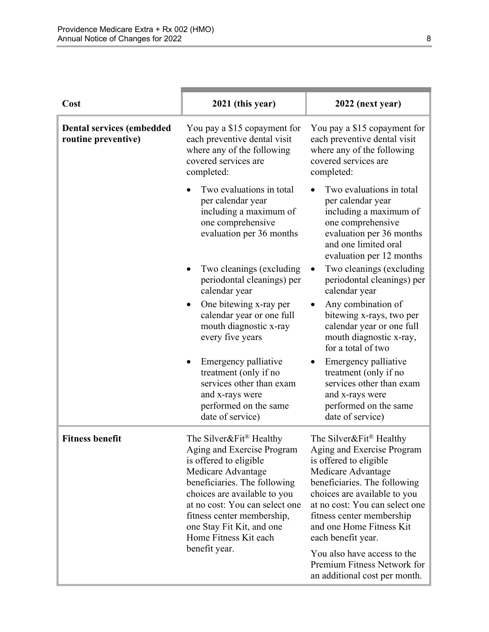| Cost                                                    | 2021 (this year)                                                                                                                                                                                                                                                                                                         | 2022 (next year)                                                                                                                                                                                                                                                                                                                  |
|---------------------------------------------------------|--------------------------------------------------------------------------------------------------------------------------------------------------------------------------------------------------------------------------------------------------------------------------------------------------------------------------|-----------------------------------------------------------------------------------------------------------------------------------------------------------------------------------------------------------------------------------------------------------------------------------------------------------------------------------|
| <b>Dental services (embedded</b><br>routine preventive) | You pay a \$15 copayment for<br>each preventive dental visit<br>where any of the following<br>covered services are<br>completed:                                                                                                                                                                                         | You pay a \$15 copayment for<br>each preventive dental visit<br>where any of the following<br>covered services are<br>completed:                                                                                                                                                                                                  |
|                                                         | Two evaluations in total<br>per calendar year<br>including a maximum of<br>one comprehensive<br>evaluation per 36 months                                                                                                                                                                                                 | Two evaluations in total<br>per calendar year<br>including a maximum of<br>one comprehensive<br>evaluation per 36 months<br>and one limited oral<br>evaluation per 12 months                                                                                                                                                      |
|                                                         | Two cleanings (excluding<br>periodontal cleanings) per<br>calendar year                                                                                                                                                                                                                                                  | Two cleanings (excluding<br>periodontal cleanings) per<br>calendar year                                                                                                                                                                                                                                                           |
|                                                         | One bitewing x-ray per<br>calendar year or one full<br>mouth diagnostic x-ray<br>every five years                                                                                                                                                                                                                        | Any combination of<br>bitewing x-rays, two per<br>calendar year or one full<br>mouth diagnostic x-ray,<br>for a total of two                                                                                                                                                                                                      |
|                                                         | Emergency palliative<br>treatment (only if no<br>services other than exam<br>and x-rays were<br>performed on the same<br>date of service)                                                                                                                                                                                | Emergency palliative<br>treatment (only if no<br>services other than exam<br>and x-rays were<br>performed on the same<br>date of service)                                                                                                                                                                                         |
| <b>Fitness benefit</b>                                  | The Silver&Fit <sup>®</sup> Healthy<br>Aging and Exercise Program<br>is offered to eligible<br>Medicare Advantage<br>beneficiaries. The following<br>choices are available to you<br>at no cost: You can select one<br>fitness center membership,<br>one Stay Fit Kit, and one<br>Home Fitness Kit each<br>benefit year. | The Silver&Fit <sup>®</sup> Healthy<br>Aging and Exercise Program<br>is offered to eligible<br>Medicare Advantage<br>beneficiaries. The following<br>choices are available to you<br>at no cost: You can select one<br>fitness center membership<br>and one Home Fitness Kit<br>each benefit year.<br>You also have access to the |
|                                                         |                                                                                                                                                                                                                                                                                                                          | Premium Fitness Network for<br>an additional cost per month.                                                                                                                                                                                                                                                                      |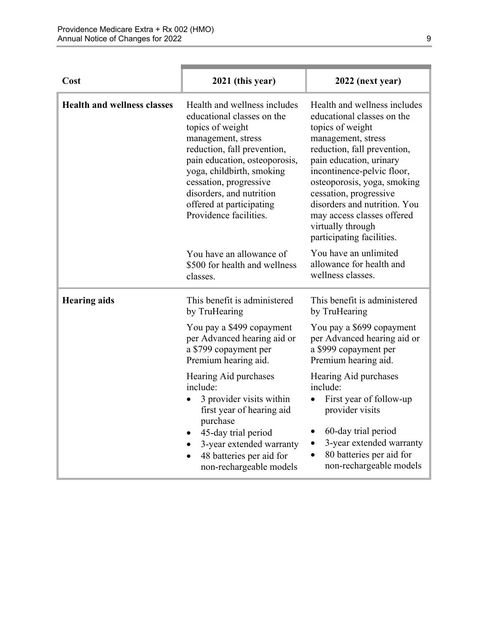| Cost                               | 2021 (this year)                                                                                                                                                                                                                                                                                              | 2022 (next year)                                                                                                                                                                                                                                                                                                                                                      |
|------------------------------------|---------------------------------------------------------------------------------------------------------------------------------------------------------------------------------------------------------------------------------------------------------------------------------------------------------------|-----------------------------------------------------------------------------------------------------------------------------------------------------------------------------------------------------------------------------------------------------------------------------------------------------------------------------------------------------------------------|
| <b>Health and wellness classes</b> | Health and wellness includes<br>educational classes on the<br>topics of weight<br>management, stress<br>reduction, fall prevention,<br>pain education, osteoporosis,<br>yoga, childbirth, smoking<br>cessation, progressive<br>disorders, and nutrition<br>offered at participating<br>Providence facilities. | Health and wellness includes<br>educational classes on the<br>topics of weight<br>management, stress<br>reduction, fall prevention,<br>pain education, urinary<br>incontinence-pelvic floor,<br>osteoporosis, yoga, smoking<br>cessation, progressive<br>disorders and nutrition. You<br>may access classes offered<br>virtually through<br>participating facilities. |
|                                    | You have an allowance of<br>\$500 for health and wellness<br>classes.                                                                                                                                                                                                                                         | You have an unlimited<br>allowance for health and<br>wellness classes.                                                                                                                                                                                                                                                                                                |
| <b>Hearing aids</b>                | This benefit is administered<br>by TruHearing                                                                                                                                                                                                                                                                 | This benefit is administered<br>by TruHearing                                                                                                                                                                                                                                                                                                                         |
|                                    | You pay a \$499 copayment<br>per Advanced hearing aid or<br>a \$799 copayment per<br>Premium hearing aid.                                                                                                                                                                                                     | You pay a \$699 copayment<br>per Advanced hearing aid or<br>a \$999 copayment per<br>Premium hearing aid.                                                                                                                                                                                                                                                             |
|                                    | Hearing Aid purchases<br>include:<br>3 provider visits within<br>first year of hearing aid<br>purchase<br>45-day trial period<br>3-year extended warranty<br>48 batteries per aid for<br>non-rechargeable models                                                                                              | Hearing Aid purchases<br>include:<br>First year of follow-up<br>provider visits<br>60-day trial period<br>٠<br>3-year extended warranty<br>$\bullet$<br>80 batteries per aid for<br>$\bullet$<br>non-rechargeable models                                                                                                                                              |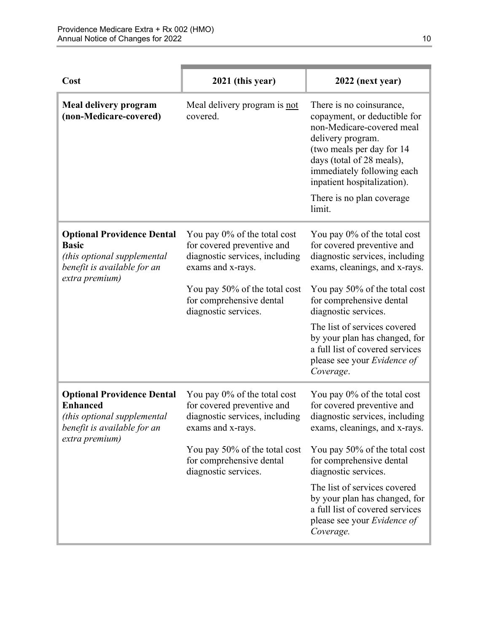| Cost                                                                                                                                 | 2021 (this year)                                                                                                                                                                                       | 2022 (next year)                                                                                                                                                                                                                                                                                                                                                   |
|--------------------------------------------------------------------------------------------------------------------------------------|--------------------------------------------------------------------------------------------------------------------------------------------------------------------------------------------------------|--------------------------------------------------------------------------------------------------------------------------------------------------------------------------------------------------------------------------------------------------------------------------------------------------------------------------------------------------------------------|
| Meal delivery program<br>(non-Medicare-covered)                                                                                      | Meal delivery program is not<br>covered.                                                                                                                                                               | There is no coinsurance,<br>copayment, or deductible for<br>non-Medicare-covered meal<br>delivery program.<br>(two meals per day for 14)<br>days (total of 28 meals),<br>immediately following each<br>inpatient hospitalization).<br>There is no plan coverage.<br>limit.                                                                                         |
| <b>Optional Providence Dental</b><br><b>Basic</b><br>(this optional supplemental<br>benefit is available for an<br>extra premium)    | You pay 0% of the total cost<br>for covered preventive and<br>diagnostic services, including<br>exams and x-rays.<br>You pay 50% of the total cost<br>for comprehensive dental<br>diagnostic services. | You pay 0% of the total cost<br>for covered preventive and<br>diagnostic services, including<br>exams, cleanings, and x-rays.<br>You pay 50% of the total cost<br>for comprehensive dental<br>diagnostic services.<br>The list of services covered<br>by your plan has changed, for<br>a full list of covered services<br>please see your Evidence of<br>Coverage. |
| <b>Optional Providence Dental</b><br><b>Enhanced</b><br>(this optional supplemental<br>benefit is available for an<br>extra premium) | You pay 0% of the total cost<br>for covered preventive and<br>diagnostic services, including<br>exams and x-rays.<br>You pay 50% of the total cost<br>for comprehensive dental<br>diagnostic services. | You pay 0% of the total cost<br>for covered preventive and<br>diagnostic services, including<br>exams, cleanings, and x-rays.<br>You pay 50% of the total cost<br>for comprehensive dental<br>diagnostic services.<br>The list of services covered<br>by your plan has changed, for<br>a full list of covered services<br>please see your Evidence of<br>Coverage. |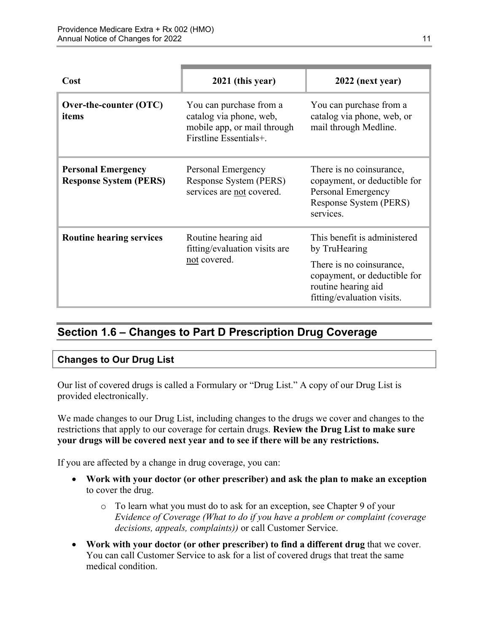| Cost                                                       | 2021 (this year)                                                                                            | 2022 (next year)                                                                                                      |
|------------------------------------------------------------|-------------------------------------------------------------------------------------------------------------|-----------------------------------------------------------------------------------------------------------------------|
| Over-the-counter (OTC)<br>items                            | You can purchase from a<br>catalog via phone, web,<br>mobile app, or mail through<br>Firstline Essentials+. | You can purchase from a<br>catalog via phone, web, or<br>mail through Medline.                                        |
| <b>Personal Emergency</b><br><b>Response System (PERS)</b> | Personal Emergency<br>Response System (PERS)<br>services are not covered.                                   | There is no coinsurance,<br>copayment, or deductible for<br>Personal Emergency<br>Response System (PERS)<br>services. |
| <b>Routine hearing services</b>                            | Routine hearing aid<br>fitting/evaluation visits are<br>not covered.                                        | This benefit is administered<br>by TruHearing                                                                         |
|                                                            |                                                                                                             | There is no coinsurance,<br>copayment, or deductible for<br>routine hearing aid<br>fitting/evaluation visits.         |

## <span id="page-13-0"></span>**Section 1.6 – Changes to Part D Prescription Drug Coverage**

#### **Changes to Our Drug List**

Our list of covered drugs is called a Formulary or "Drug List." A copy of our Drug List is provided electronically.

We made changes to our Drug List, including changes to the drugs we cover and changes to the restrictions that apply to our coverage for certain drugs. **Review the Drug List to make sure your drugs will be covered next year and to see if there will be any restrictions.** 

If you are affected by a change in drug coverage, you can:

- **Work with your doctor (or other prescriber) and ask the plan to make an exception**  to cover the drug.
	- o To learn what you must do to ask for an exception, see Chapter 9 of your *E*v*idence of Coverage (What to do if you have a problem or complaint (coverage decisions, appeals, complaints))* or call Customer Service.
- **Work with your doctor (or other prescriber) to find a different drug** that we cover. You can call Customer Service to ask for a list of covered drugs that treat the same medical condition.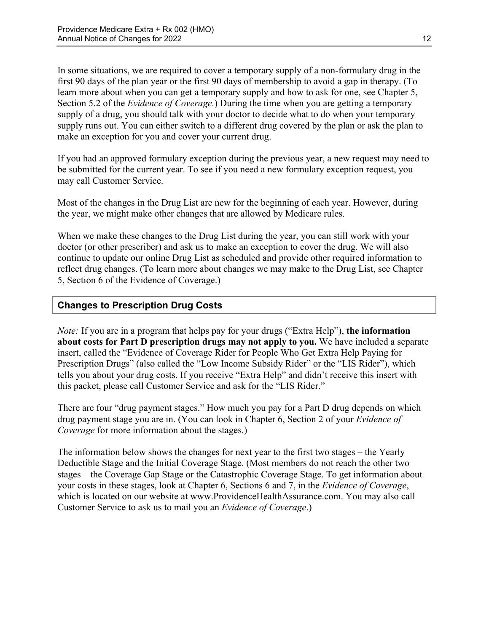Section 5.2 of the *Evidence of Coverage.*) During the time when you are getting a temporary In some situations, we are required to cover a temporary supply of a non-formulary drug in the first 90 days of the plan year or the first 90 days of membership to avoid a gap in therapy. (To learn more about when you can get a temporary supply and how to ask for one, see Chapter 5, supply of a drug, you should talk with your doctor to decide what to do when your temporary supply runs out. You can either switch to a different drug covered by the plan or ask the plan to make an exception for you and cover your current drug.

If you had an approved formulary exception during the previous year, a new request may need to be submitted for the current year. To see if you need a new formulary exception request, you may call Customer Service.

Most of the changes in the Drug List are new for the beginning of each year. However, during the year, we might make other changes that are allowed by Medicare rules.

When we make these changes to the Drug List during the year, you can still work with your doctor (or other prescriber) and ask us to make an exception to cover the drug. We will also continue to update our online Drug List as scheduled and provide other required information to reflect drug changes. (To learn more about changes we may make to the Drug List, see Chapter 5, Section 6 of the Evidence of Coverage.)

## **Changes to Prescription Drug Costs**

*Note:* If you are in a program that helps pay for your drugs ("Extra Help"), **the information about costs for Part D prescription drugs may not apply to you.** We have included a separate insert, called the "Evidence of Coverage Rider for People Who Get Extra Help Paying for Prescription Drugs" (also called the "Low Income Subsidy Rider" or the "LIS Rider"), which tells you about your drug costs. If you receive "Extra Help" and didn't receive this insert with this packet, please call Customer Service and ask for the "LIS Rider."

There are four "drug payment stages." How much you pay for a Part D drug depends on which drug payment stage you are in. (You can look in Chapter 6, Section 2 of your *Evidence of Coverage* for more information about the stages.)

The information below shows the changes for next year to the first two stages – the Yearly Deductible Stage and the Initial Coverage Stage. (Most members do not reach the other two stages – the Coverage Gap Stage or the Catastrophic Coverage Stage. To get information about your costs in these stages, look at Chapter 6, Sections 6 and 7, in the *Evidence of Coverage*, which is located on our website at [www.ProvidenceHealthAssurance.com.](http://www.ProvidenceHealthAssurance.com) You may also call Customer Service to ask us to mail you an *Evidence of Coverage*.)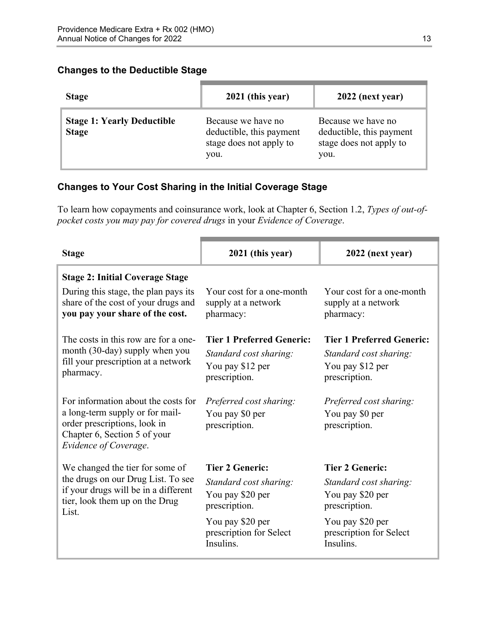#### **Changes to the Deductible Stage**

| <b>Stage</b>                                      | 2021 (this year)                                                                  | 2022 (next year)                                                                  |
|---------------------------------------------------|-----------------------------------------------------------------------------------|-----------------------------------------------------------------------------------|
| <b>Stage 1: Yearly Deductible</b><br><b>Stage</b> | Because we have no<br>deductible, this payment<br>stage does not apply to<br>you. | Because we have no<br>deductible, this payment<br>stage does not apply to<br>you. |

## **Changes to Your Cost Sharing in the Initial Coverage Stage**

To learn how copayments and coinsurance work, look at Chapter 6, Section 1.2, *Types of out-ofpocket costs you may pay for covered drugs* in your *Evidence of Coverage*.

| <b>Stage</b>                                                                                                                                                    | 2021 (this year)                                                                                | 2022 (next year)                                                                                |
|-----------------------------------------------------------------------------------------------------------------------------------------------------------------|-------------------------------------------------------------------------------------------------|-------------------------------------------------------------------------------------------------|
| <b>Stage 2: Initial Coverage Stage</b>                                                                                                                          |                                                                                                 |                                                                                                 |
| During this stage, the plan pays its<br>share of the cost of your drugs and<br>you pay your share of the cost.                                                  | Your cost for a one-month<br>supply at a network<br>pharmacy:                                   | Your cost for a one-month<br>supply at a network<br>pharmacy:                                   |
| The costs in this row are for a one-<br>month (30-day) supply when you<br>fill your prescription at a network<br>pharmacy.                                      | <b>Tier 1 Preferred Generic:</b><br>Standard cost sharing:<br>You pay \$12 per<br>prescription. | <b>Tier 1 Preferred Generic:</b><br>Standard cost sharing:<br>You pay \$12 per<br>prescription. |
| For information about the costs for<br>a long-term supply or for mail-<br>order prescriptions, look in<br>Chapter 6, Section 5 of your<br>Evidence of Coverage. | Preferred cost sharing:<br>You pay \$0 per<br>prescription.                                     | Preferred cost sharing:<br>You pay \$0 per<br>prescription.                                     |
| We changed the tier for some of                                                                                                                                 | <b>Tier 2 Generic:</b>                                                                          | <b>Tier 2 Generic:</b>                                                                          |
| the drugs on our Drug List. To see<br>if your drugs will be in a different<br>tier, look them up on the Drug<br>List.                                           | Standard cost sharing:<br>You pay \$20 per<br>prescription.                                     | Standard cost sharing:<br>You pay \$20 per<br>prescription.                                     |
|                                                                                                                                                                 | You pay \$20 per<br>prescription for Select<br>Insulins.                                        | You pay \$20 per<br>prescription for Select<br>Insulins.                                        |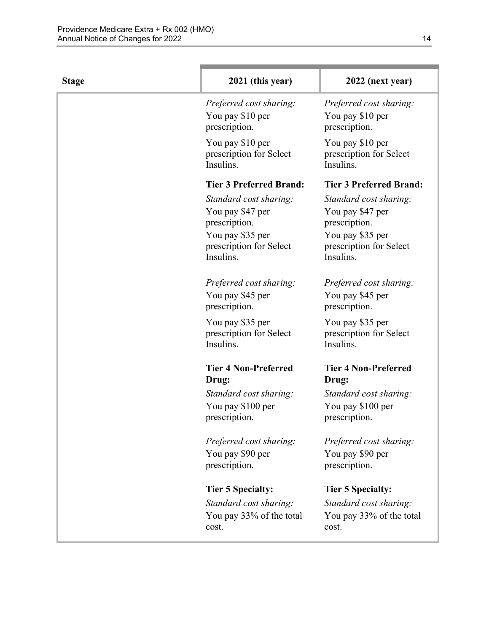| <b>Stage</b> | 2021 (this year)                                                                                                        | 2022 (next year)                                                                                                        |
|--------------|-------------------------------------------------------------------------------------------------------------------------|-------------------------------------------------------------------------------------------------------------------------|
|              | Preferred cost sharing:<br>You pay \$10 per<br>prescription.                                                            | Preferred cost sharing:<br>You pay \$10 per<br>prescription.                                                            |
|              | You pay \$10 per<br>prescription for Select<br>Insulins.                                                                | You pay \$10 per<br>prescription for Select<br>Insulins.                                                                |
|              | <b>Tier 3 Preferred Brand:</b>                                                                                          | <b>Tier 3 Preferred Brand:</b>                                                                                          |
|              | Standard cost sharing:<br>You pay \$47 per<br>prescription.<br>You pay \$35 per<br>prescription for Select<br>Insulins. | Standard cost sharing:<br>You pay \$47 per<br>prescription.<br>You pay \$35 per<br>prescription for Select<br>Insulins. |
|              | Preferred cost sharing:<br>You pay \$45 per<br>prescription.                                                            | Preferred cost sharing:<br>You pay \$45 per<br>prescription.                                                            |
|              | You pay \$35 per<br>prescription for Select<br>Insulins.                                                                | You pay \$35 per<br>prescription for Select<br>Insulins.                                                                |
|              | <b>Tier 4 Non-Preferred</b><br>Drug:                                                                                    | <b>Tier 4 Non-Preferred</b><br>Drug:                                                                                    |
|              | Standard cost sharing:<br>You pay \$100 per<br>prescription.                                                            | Standard cost sharing:<br>You pay \$100 per<br>prescription.                                                            |
|              | Preferred cost sharing:<br>You pay \$90 per<br>prescription.                                                            | Preferred cost sharing:<br>You pay \$90 per<br>prescription.                                                            |
|              | <b>Tier 5 Specialty:</b>                                                                                                | <b>Tier 5 Specialty:</b>                                                                                                |
|              | Standard cost sharing:                                                                                                  | Standard cost sharing:                                                                                                  |
|              | You pay 33% of the total<br>cost.                                                                                       | You pay 33% of the total<br>cost.                                                                                       |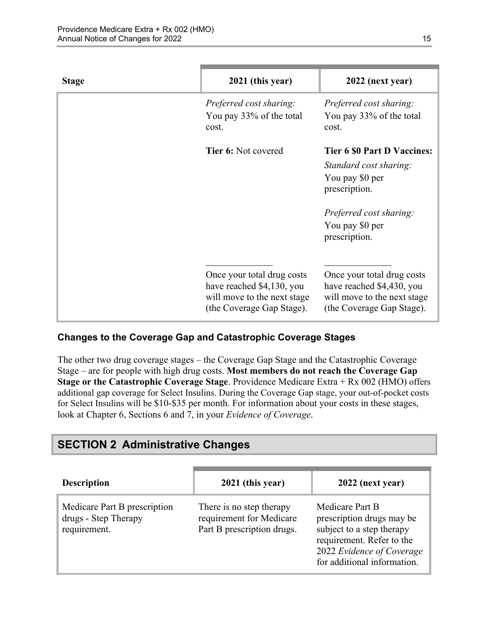| <b>Stage</b> | 2021 (this year)                                                                                                    | 2022 (next year)                                                                                                    |
|--------------|---------------------------------------------------------------------------------------------------------------------|---------------------------------------------------------------------------------------------------------------------|
|              | Preferred cost sharing:<br>You pay 33% of the total<br>cost.                                                        | Preferred cost sharing:<br>You pay 33% of the total<br>cost.                                                        |
|              | <b>Tier 6: Not covered</b>                                                                                          | <b>Tier 6 \$0 Part D Vaccines:</b><br>Standard cost sharing:<br>You pay \$0 per<br>prescription.                    |
|              |                                                                                                                     | Preferred cost sharing:<br>You pay \$0 per<br>prescription.                                                         |
|              | Once your total drug costs<br>have reached \$4,130, you<br>will move to the next stage<br>(the Coverage Gap Stage). | Once your total drug costs<br>have reached \$4,430, you<br>will move to the next stage<br>(the Coverage Gap Stage). |

## **Changes to the Coverage Gap and Catastrophic Coverage Stages**

The other two drug coverage stages – the Coverage Gap Stage and the Catastrophic Coverage Stage – are for people with high drug costs. **Most members do not reach the Coverage Gap Stage or the Catastrophic Coverage Stage**. Providence Medicare Extra + Rx 002 (HMO) offers additional gap coverage for Select Insulins. During the Coverage Gap stage, your out-of-pocket costs for Select Insulins will be \$10-\$35 per month. For information about your costs in these stages, look at Chapter 6, Sections 6 and 7, in your *Evidence of Coverage*.

## <span id="page-17-0"></span>**SECTION 2 Administrative Changes**

| <b>Description</b>                                                   | 2021 (this year)                                                                   | 2022 (next year)                                                                                                                                                   |
|----------------------------------------------------------------------|------------------------------------------------------------------------------------|--------------------------------------------------------------------------------------------------------------------------------------------------------------------|
| Medicare Part B prescription<br>drugs - Step Therapy<br>requirement. | There is no step therapy<br>requirement for Medicare<br>Part B prescription drugs. | Medicare Part B<br>prescription drugs may be<br>subject to a step therapy<br>requirement. Refer to the<br>2022 Evidence of Coverage<br>for additional information. |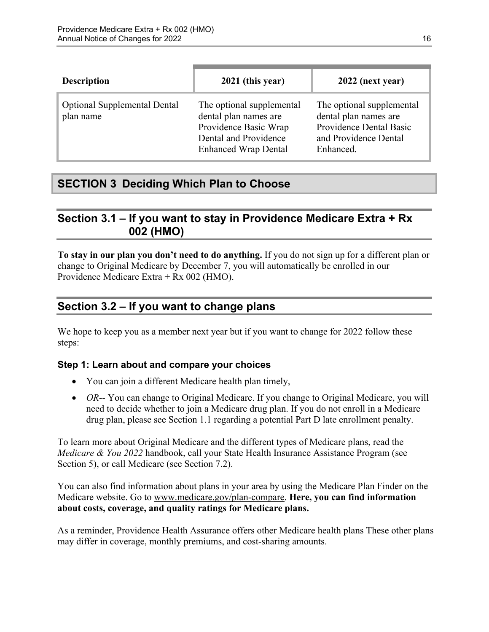| <b>Description</b>                               | 2021 (this year)                                                                                                                    | 2022 (next year)                                                                                                    |
|--------------------------------------------------|-------------------------------------------------------------------------------------------------------------------------------------|---------------------------------------------------------------------------------------------------------------------|
| <b>Optional Supplemental Dental</b><br>plan name | The optional supplemental<br>dental plan names are<br>Providence Basic Wrap<br>Dental and Providence<br><b>Enhanced Wrap Dental</b> | The optional supplemental<br>dental plan names are<br>Providence Dental Basic<br>and Providence Dental<br>Enhanced. |

## <span id="page-18-0"></span>**SECTION 3 Deciding Which Plan to Choose**

## <span id="page-18-1"></span>**Section 3.1 – If you want to stay in Providence Medicare Extra + Rx 002 (HMO)**

**To stay in our plan you don't need to do anything.** If you do not sign up for a different plan or change to Original Medicare by December 7, you will automatically be enrolled in our Providence Medicare Extra + Rx 002 (HMO).

## <span id="page-18-2"></span>**Section 3.2 – If you want to change plans**

We hope to keep you as a member next year but if you want to change for 2022 follow these steps:

## **Step 1: Learn about and compare your choices**

- You can join a different Medicare health plan timely,
- *OR*-- You can change to Original Medicare. If you change to Original Medicare, you will need to decide whether to join a Medicare drug plan. If you do not enroll in a Medicare drug plan, please see Section 1.1 regarding a potential Part D late enrollment penalty.

To learn more about Original Medicare and the different types of Medicare plans, read the *Medicare & You 2022* handbook, call your State Health Insurance Assistance Program (see Section 5), or call Medicare (see Section 7.2).

You can also find information about plans in your area by using the Medicare Plan Finder on the Medicare website. Go to [www.medicare.gov/plan-compare](http://www.medicare.gov/plan-compare). **Here, you can find information about costs, coverage, and quality ratings for Medicare plans.** 

As a reminder, Providence Health Assurance offers other Medicare health plans These other plans may differ in coverage, monthly premiums, and cost-sharing amounts.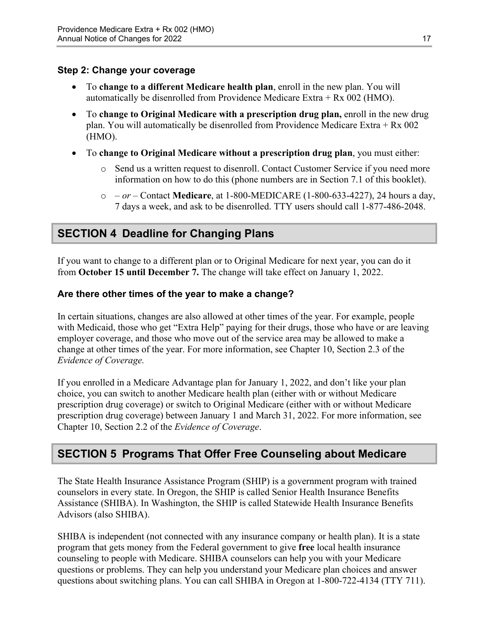#### **Step 2: Change your coverage**

- To **change to a different Medicare health plan**, enroll in the new plan. You will automatically be disenrolled from Providence Medicare Extra + Rx 002 (HMO).
- To **change to Original Medicare with a prescription drug plan,** enroll in the new drug plan. You will automatically be disenrolled from Providence Medicare Extra + Rx 002 (HMO).
- To **change to Original Medicare without a prescription drug plan**, you must either:
	- $\circ$  Send us a written request to disenroll. Contact Customer Service if you need more information on how to do this (phone numbers are in Section 7.1 of this booklet).
	- o  *or –* Contact **Medicare**, at 1-800-MEDICARE (1-800-633-4227), 24 hours a day, 7 days a week, and ask to be disenrolled. TTY users should call 1-877-486-2048.

## <span id="page-19-0"></span>**SECTION 4 Deadline for Changing Plans**

If you want to change to a different plan or to Original Medicare for next year, you can do it from **October 15 until December 7.** The change will take effect on January 1, 2022.

#### **Are there other times of the year to make a change?**

In certain situations, changes are also allowed at other times of the year. For example, people with Medicaid, those who get "Extra Help" paying for their drugs, those who have or are leaving employer coverage, and those who move out of the service area may be allowed to make a change at other times of the year. For more information, see Chapter 10, Section 2.3 of the *Evidence of Coverage.* 

 Chapter 10, Section 2.2 of the *Evidence of Coverage*. If you enrolled in a Medicare Advantage plan for January 1, 2022, and don't like your plan choice, you can switch to another Medicare health plan (either with or without Medicare prescription drug coverage) or switch to Original Medicare (either with or without Medicare prescription drug coverage) between January 1 and March 31, 2022. For more information, see

## <span id="page-19-1"></span>**SECTION 5 Programs That Offer Free Counseling about Medicare**

The State Health Insurance Assistance Program (SHIP) is a government program with trained counselors in every state. In Oregon, the SHIP is called Senior Health Insurance Benefits Assistance (SHIBA). In Washington, the SHIP is called Statewide Health Insurance Benefits Advisors (also SHIBA).

 SHIBA is independent (not connected with any insurance company or health plan). It is a state program that gets money from the Federal government to give **free** local health insurance counseling to people with Medicare. SHIBA counselors can help you with your Medicare questions or problems. They can help you understand your Medicare plan choices and answer questions about switching plans. You can call SHIBA in Oregon at 1-800-722-4134 (TTY 711).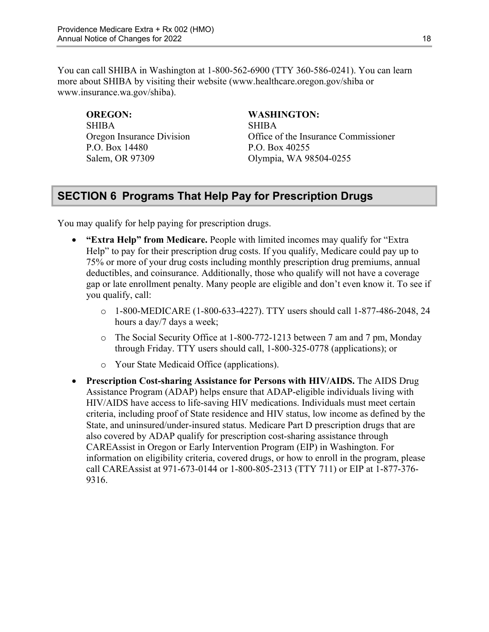You can call SHIBA in Washington at 1-800-562-6900 (TTY 360-586-0241). You can learn more about SHIBA by visiting their website ([www.healthcare.oregon.gov/shiba](http://healthcare.oregon.gov/shiba) or [www.insurance.wa.gov/shiba\)](http://www.insurance.wa.gov/shiba).

SHIBA SHIBA P.O. Box 14480 P.O. Box 40255

#### **OREGON: WASHINGTON:**

Oregon Insurance Division Office of the Insurance Commissioner Salem, OR 97309 Olympia, WA 98504-0255

## <span id="page-20-0"></span>**SECTION 6 Programs That Help Pay for Prescription Drugs**

You may qualify for help paying for prescription drugs.

- **"Extra Help" from Medicare.** People with limited incomes may qualify for "Extra Help" to pay for their prescription drug costs. If you qualify, Medicare could pay up to 75% or more of your drug costs including monthly prescription drug premiums, annual deductibles, and coinsurance. Additionally, those who qualify will not have a coverage gap or late enrollment penalty. Many people are eligible and don't even know it. To see if you qualify, call:
	- o 1-800-MEDICARE (1-800-633-4227). TTY users should call 1-877-486-2048, 24 hours a day/7 days a week;
	- o The Social Security Office at 1-800-772-1213 between 7 am and 7 pm, Monday through Friday. TTY users should call, 1-800-325-0778 (applications); or
	- o Your State Medicaid Office (applications).
- **Prescription Cost-sharing Assistance for Persons with HIV/AIDS.** The AIDS Drug Assistance Program (ADAP) helps ensure that ADAP-eligible individuals living with HIV/AIDS have access to life-saving HIV medications. Individuals must meet certain criteria, including proof of State residence and HIV status, low income as defined by the State, and uninsured/under-insured status. Medicare Part D prescription drugs that are also covered by ADAP qualify for prescription cost-sharing assistance through CAREAssist in Oregon or Early Intervention Program (EIP) in Washington. For information on eligibility criteria, covered drugs, or how to enroll in the program, please call CAREAssist at 971-673-0144 or 1-800-805-2313 (TTY 711) or EIP at 1-877-376 9316.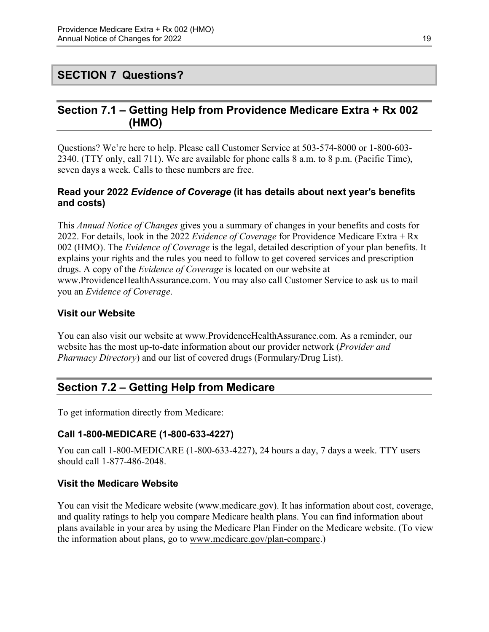## <span id="page-21-0"></span>**SECTION 7 Questions?**

## <span id="page-21-1"></span>**Section 7.1 – Getting Help from Providence Medicare Extra + Rx 002 (HMO)**

Questions? We're here to help. Please call Customer Service at 503-574-8000 or 1-800-603 2340. (TTY only, call 711). We are available for phone calls 8 a.m. to 8 p.m. (Pacific Time), seven days a week. Calls to these numbers are free.

#### **Read your 2022** *Evidence of Coverage* **(it has details about next year's benefits and costs)**

This *Annual Notice of Changes* gives you a summary of changes in your benefits and costs for 2022. For details, look in the 2022 *Evidence of Coverage* for Providence Medicare Extra + Rx 002 (HMO). The *Evidence of Coverage* is the legal, detailed description of your plan benefits. It explains your rights and the rules you need to follow to get covered services and prescription drugs. A copy of the *Evidence of Coverage* is located on our website at [www.ProvidenceHealthAssurance.com.](http://www.ProvidenceHealthAssurance.com) You may also call Customer Service to ask us to mail you an *Evidence of Coverage*.

#### **Visit our Website**

You can also visit our website at [www.ProvidenceHealthAssurance.com](http://www.ProvidenceHealthAssurance.com). As a reminder, our website has the most up-to-date information about our provider network (*Provider and Pharmacy Directory*) and our list of covered drugs (Formulary/Drug List).

## <span id="page-21-2"></span>**Section 7.2 – Getting Help from Medicare**

To get information directly from Medicare:

#### **Call 1-800-MEDICARE (1-800-633-4227)**

You can call 1-800-MEDICARE (1-800-633-4227), 24 hours a day, 7 days a week. TTY users should call 1-877-486-2048.

#### **Visit the Medicare Website**

You can visit the Medicare website ([www.medicare.gov\)](http://www.medicare.gov/). It has information about cost, coverage, and quality ratings to help you compare Medicare health plans. You can find information about plans available in your area by using the Medicare Plan Finder on the Medicare website. (To view the information about plans, go to [www.medicare.gov/plan-compare.](http://www.medicare.gov/plan-compare))